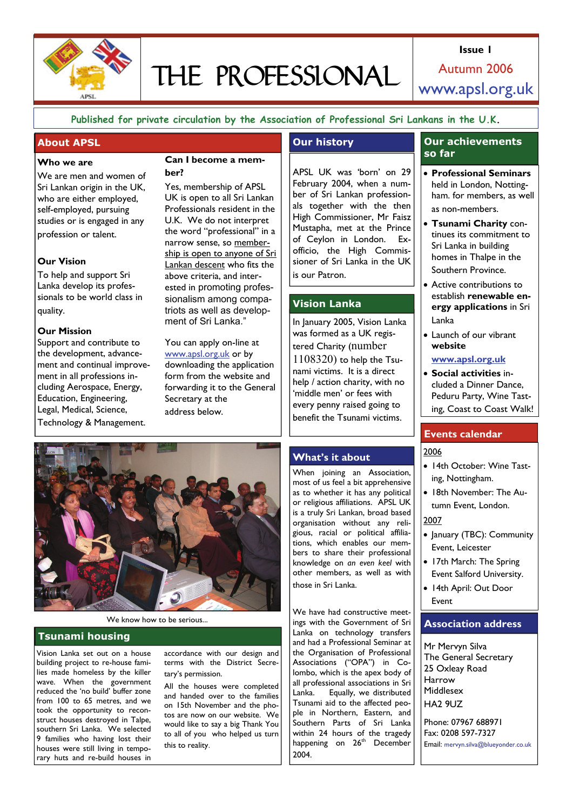

THE PROFESSIONAL

Autumn 2006

**Issue 1** 

www.apsl.org.uk

**Published for private circulation by the Association of Professional Sri Lankans in the U.K.**

#### **About APSL**

### **Who we are**

We are men and women of Sri Lankan origin in the UK, who are either employed, self-employed, pursuing studies or is engaged in any profession or talent.

#### **Our Vision**

To help and support Sri Lanka develop its professionals to be world class in quality.

#### **Our Mission**

Support and contribute to the development, advancement and continual improvement in all professions including Aerospace, Energy, Education, Engineering, Legal, Medical, Science, Technology & Management.

## **Can I become a member?**

Yes, membership of APSL UK is open to all Sri Lankan Professionals resident in the U.K. We do not interpret the word "professional" in a narrow sense, so membership is open to anyone of Sri Lankan descent who fits the above criteria, and interested in promoting professionalism among compatriots as well as development of Sri Lanka."

You can apply on-line at [www.apsl.org.uk](http://www.apsluk.org.uk/) or by downloading the application form from the website and forwarding it to the General Secretary at the address below.

# **Our history**

APSL UK was 'born' on 29 February 2004, when a number of Sri Lankan professionals together with the then High Commissioner, Mr Faisz Mustapha, met at the Prince of Ceylon in London. Exofficio, the High Commissioner of Sri Lanka in the UK is our Patron.

# **Vision Lanka**

In January 2005, Vision Lanka was formed as a UK registered Charity (number 1108320) to help the Tsunami victims. It is a direct help / action charity, with no 'middle men' or fees with every penny raised going to benefit the Tsunami victims.

# **Our achievements so far**

- **Professional Seminars**  held in London, Nottingham. for members, as well as non-members.
- **Tsunami Charity** continues its commitment to Sri Lanka in building homes in Thalpe in the Southern Province.
- Active contributions to establish **renewable energy applications** in Sri Lanka
- Launch of our vibrant **website**

**[www.apsl.org.uk](http://www.apsl.org.uk/)**

• **Social activities** included a Dinner Dance, Peduru Party, Wine Tasting, Coast to Coast Walk!

## **Events calendar**

## 2006

- 14th October: Wine Tasting, Nottingham.
- 18th November: The Autumn Event, London.

2007

- January (TBC): Community Event, Leicester
- 17th March: The Spring Event Salford University.
- 14th April: Out Door Event

### **Association address**

Mr Mervyn Silva The General Secretary 25 Oxleay Road Harrow Middlesex HA2 9UZ

Phone: 07967 688971 Fax: 0208 597-7327 Email: mervyn.silva@blueyonder.co.uk



We know how to be serious...

## **Tsunami housing**

Vision Lanka set out on a house building project to re-house families made homeless by the killer wave. When the government reduced the 'no build' buffer zone from 100 to 65 metres, and we took the opportunity to reconstruct houses destroyed in Talpe, southern Sri Lanka. We selected 9 families who having lost their houses were still living in temporary huts and re-build houses in

accordance with our design and terms with the District Secretary's permission.

All the houses were completed and handed over to the families on 15th November and the photos are now on our website. We would like to say a big Thank You to all of you who helped us turn this to reality.

## **What's it about**

When joining an Association, most of us feel a bit apprehensive as to whether it has any political or religious affiliations. APSL UK is a truly Sri Lankan, broad based organisation without any religious, racial or political affiliations, which enables our members to share their professional knowledge on *an even keel* with other members, as well as with those in Sri Lanka.

We have had constructive meetings with the Government of Sri Lanka on technology transfers and had a Professional Seminar at the Organisation of Professional Associations ("OPA") in Colombo, which is the apex body of all professional associations in Sri Lanka. Equally, we distributed Tsunami aid to the affected people in Northern, Eastern, and Southern Parts of Sri Lanka within 24 hours of the tragedy happening on 26<sup>th</sup> December 2004.